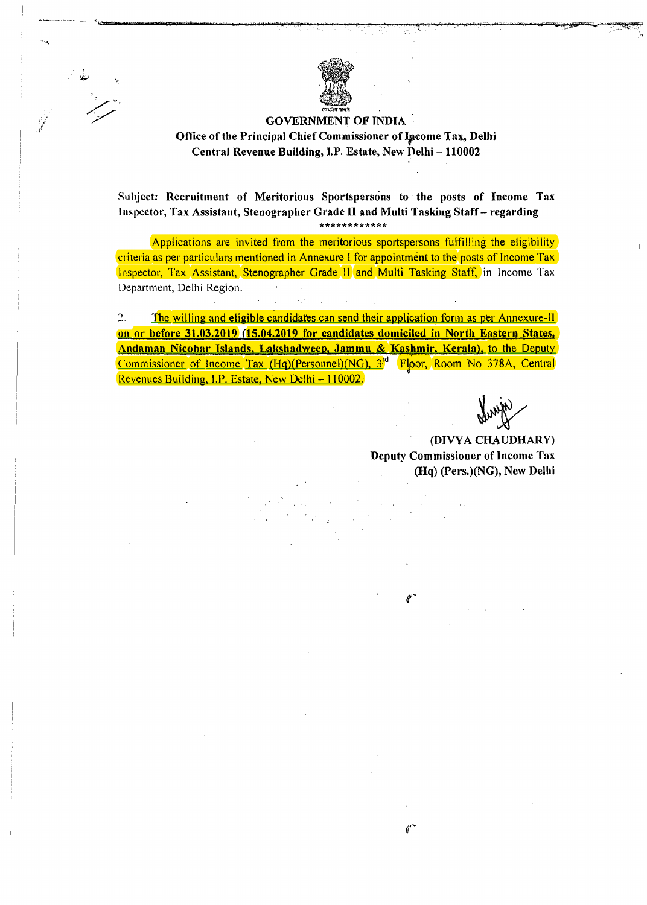

**GOVERNMENT OF INDIA** Office of the Principal Chief Commissioner of Income Tax, Delhi Central Revenue Building, I.P. Estate, New Delhi - 110002

Subject: Recruitment of Meritorious Sportspersons to the posts of Income Tax Inspector, Tax Assistant, Stenographer Grade II and Multi Tasking Staff-regarding \*\*\*\*\*\*\*\*\*\*\*\*

Applications are invited from the meritorious sportspersons fulfilling the eligibility criteria as per particulars mentioned in Annexure I for appointment to the posts of Income Tax Inspector, Tax Assistant, Stenographer Grade II and Multi Tasking Staff, in Income Tax Department, Delhi Region.

The willing and eligible candidates can send their application form as per Annexure-II  $2.$ on or before 31.03.2019 (15.04.2019 for candidates domiciled in North Eastern States, Andaman Nicobar Islands, Lakshadweep, Jammu & Kashmir, Kerala), to the Deputy Commissioner of Income Tax (Hq)(Personnel)(NG), 3<sup>rd</sup> Floor, Room No 378A, Central Revenues Building, I.P. Estate, New Delhi - 110002.

(DIVYA CHAUDHARY) **Deputy Commissioner of Income Tax** (Hq) (Pers.)(NG), New Delhi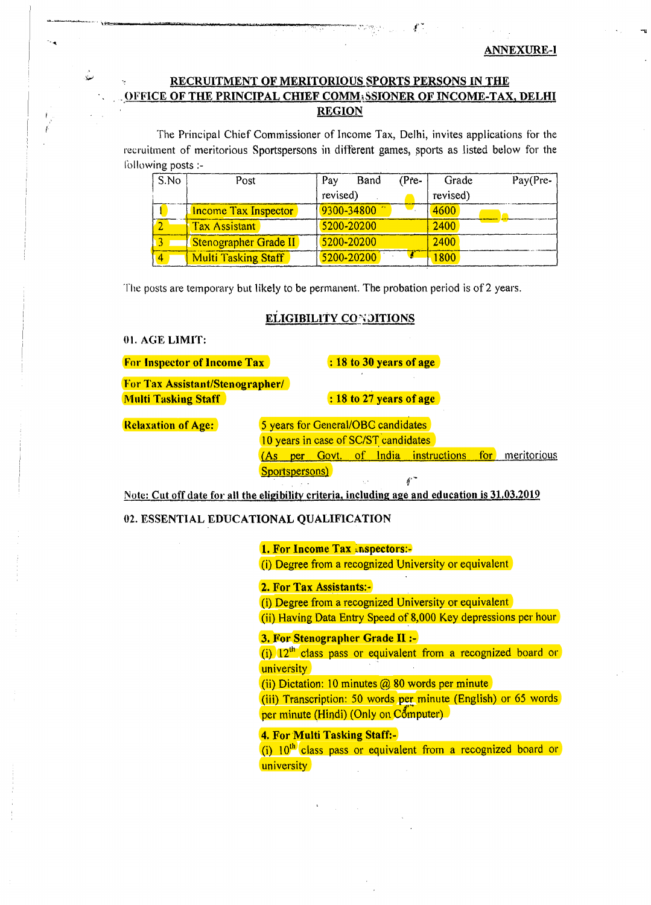# RECRUITMENT OF MERITORIOUS SPORTS PERSONS IN THE OFFICE OF THE PRINCIPAL CHIEF COMM; SSIONER OF INCOME-TAX, DELHI REGION

The Principal Chief Commissioner of Income Tax, Delhi, invites applications for the recruitment of meritorious Sportspersons in different games, sports as listed below for the l'ollowing posts :-

| S.No | Post                        | Pay<br>Band | $(Pre-$ | Grade    | Pay(Pre- |
|------|-----------------------------|-------------|---------|----------|----------|
|      |                             | revised)    |         | revised) |          |
|      | <b>Income Tax Inspector</b> | 9300-34800  |         | 4600     |          |
|      | <b>Tax Assistant</b>        | 5200-20200  |         | 2400     |          |
|      | Stenographer Grade II       | 5200-20200  |         | 2400     |          |
| 4    | <b>Multi Tasking Staff</b>  | 5200-20200  |         | 1800     |          |

The posts are temporary but likely to be permanent. The probation period is of 2 years.

## ELIGIBILITY CONDITIONS

## 01. AGE LIMIT:

....

سألاد

| <b>For Inspector of Income Tax</b> |     |                |                                      | : 18 to 30 years of age |                                 |         |             |
|------------------------------------|-----|----------------|--------------------------------------|-------------------------|---------------------------------|---------|-------------|
| For Tax Assistant/Stenographer/    |     |                |                                      |                         |                                 |         |             |
| <b>Multi Tasking Staff</b>         |     |                |                                      | : 18 to 27 years of age |                                 |         |             |
| <b>Relaxation of Age:</b>          |     |                | 5 years for General/OBC candidates   |                         |                                 |         |             |
|                                    |     |                | 10 years in case of SC/ST candidates |                         |                                 |         |             |
|                                    | 'As |                |                                      |                         | per Govt, of India instructions | for for | meritorious |
|                                    |     | Sportspersons) |                                      |                         |                                 |         |             |

Note: Cut off date for all the eligibility criteria, including age and education is 31.03.2019

#### 02. ESSENTIAL EDUCATIONAL QUALIFICATION

1. For Income Tax *\*nspectors:-*(i) Degree from a recognized University or equivalent

#### 2. For Tax Assistants:-

(i) Degree from a recognized University or equivalent (ii) Having Data Entry Speed of 8,000 Key depressions per hour

## 3. For Stenographer Grade II :-

 $(i)$  12<sup>th</sup> class pass or equivalent from a recognized board or university

(ii) Dictation: 10 minutes  $\omega$  80 words per minute

(iii) Transcription: 50 words per minute (English) or 65 words  $per$  minute (Hindi) (Only on Computer)

#### 4. For Multi Tasking Staff:-

 $(i)$  10<sup>th</sup> class pass or equivalent from a recognized board or university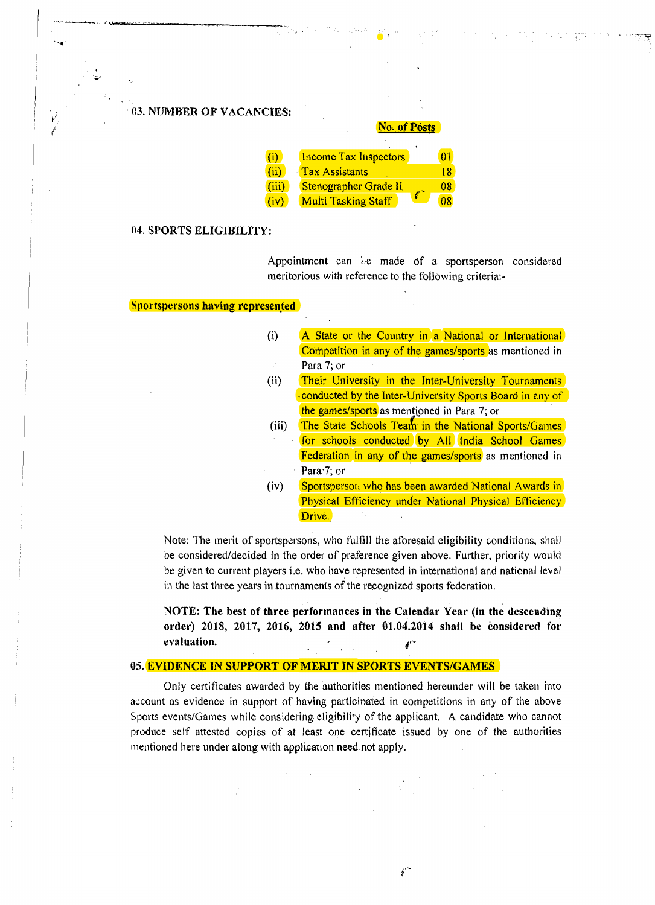03. NUMBER OF VACANCIES:

---.-- -,-\_ ........ ' '.............. \_------.,---

P, *t* 

|                 | <b>No. of Posts</b>                      |    |
|-----------------|------------------------------------------|----|
|                 |                                          |    |
| $\ddot{\omega}$ | <b>Income Tax Inspectors</b>             | 01 |
| (ii)            | Tax Assistants                           | 18 |
| (iii)           | Stenographer Grade II                    | 08 |
| (iv)            | $\sqrt{a}$<br><b>Multi Tasking Staff</b> |    |

#### 04. SPORTS ELIGIBILITY:

Appointment can be made of a sportsperson considered meritorious with reference to the following criteria:-

#### Sportspersons having represented

- (i) A State or the Country in a National or International Competition in any of the games/sports as mentioned in Para 7; or
- (ii) Their University in the Inter-University Tournaments ·conducted by the Inter-University Sports 80ard in any of the games/sports as mentioned in Para 7; or
- (iii) The State Schools Team in the National Sports/Games for schools conducted by All India School Games Federation in any of the games/sports as mentioned in Para'7; or
- (iv) Sportspersol< who has been awarded National Awards in Physical Efficiency under National Physical Efficiency Drive.

Note: The merit of sportspersons, who fulfill the aforesaid eligibility conditions, shall be considered/decided in the order of preference given above. Further, priority would be given to current players *i.e.* who have represented in international and national level in the last three years in tournaments of the recognized sports federation.

NOTE: The best of three performances in the Calendar Year (in the descending order) 2018, 20l7, 2016, 2015 and after 01.04.2014 shall be considered for  $evaluation.$ 

#### 05. EVIDENCE IN SUPPORT OF MERIT IN SPORTS EVENTS/GAMES

Only certificates awarded by the authorities mentioned hereunder will be taken into account as evidence in support of having particinated in competitions in any of the above Sports events/Games while considering eligibility of the applicant. A candidate who cannot produce self attested copies of at least one certificate issued by one of the authorities mentioned here under along with application need not apply.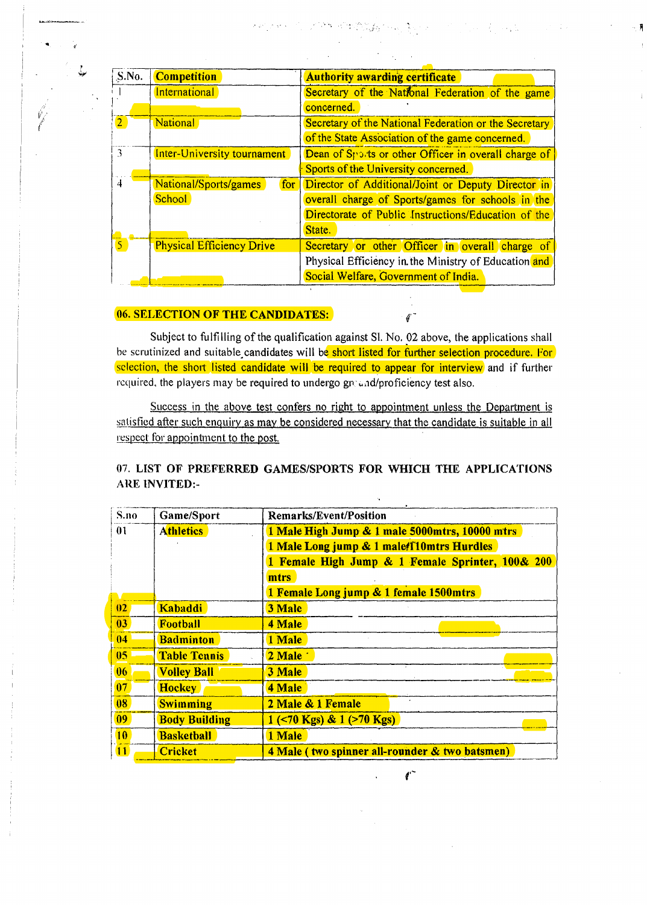$a^{\sim}$ 

 $\mathbf{r}$ 

 $\label{eq:2.1} \frac{1}{2} \int_{\mathbb{R}^3} \left| \frac{1}{2} \left( \frac{1}{2} \right) \right| \, \mathrm{d} \mathcal{L} = \frac{1}{2} \int_{\mathbb{R}^3} \left| \frac{1}{2} \left( \frac{1}{2} \right) \right| \, \mathrm{d} \mathcal{L} = \frac{1}{2} \int_{\mathbb{R}^3} \left| \frac{1}{2} \left( \frac{1}{2} \right) \right| \, \mathrm{d} \mathcal{L} = \frac{1}{2} \int_{\mathbb{R}^3} \left| \frac{1}{2} \right| \,$ 

| S.No.          | <b>Competition</b>               | <b>Authority awarding certificate</b>                 |
|----------------|----------------------------------|-------------------------------------------------------|
|                | International                    | Secretary of the National Federation of the game      |
|                |                                  | concerned.                                            |
| 2 <sup>1</sup> | <b>National</b>                  | Secretary of the National Federation or the Secretary |
|                |                                  | of the State Association of the game concerned.       |
| 3              | Inter-University tournament      | Dean of Sports or other Officer in overall charge of  |
|                |                                  | Sports of the University concerned.                   |
| 4              | National/Sports/games<br>for     | Director of Additional/Joint or Deputy Director in    |
|                | School                           | overall charge of Sports/games for schools in the     |
|                |                                  | Directorate of Public Instructions/Education of the   |
|                |                                  | State.                                                |
| $\overline{5}$ | <b>Physical Efficiency Drive</b> | Secretary or other Officer in overall charge of       |
|                |                                  | Physical Efficiency in the Ministry of Education and  |
|                |                                  | Social Welfare, Government of India.                  |

# **06. SELECTION OF THE CANDIDATES:**

Subject to fulfilling of the qualification against Sl. No. 02 above, the applications shall be scrutinized and suitable candidates will be short listed for further selection procedure. For selection, the short listed candidate will be required to appear for interview and if further required, the players may be required to undergo greand/proficiency test also.

Success in the above test confers no right to appointment unless the Department is satisfied after such enquiry as may be considered necessary that the candidate is suitable in all respect for appointment to the post.

07. LIST OF PREFERRED GAMES/SPORTS FOR WHICH THE APPLICATIONS ARE INVITED:-

| S.no            | Game/Sport           | <b>Remarks/Event/Position</b>                  |  |  |
|-----------------|----------------------|------------------------------------------------|--|--|
| 01              | <b>Athletics</b>     | 1 Male High Jump & 1 male 5000mtrs, 10000 mtrs |  |  |
|                 |                      | 1 Male Long jump & 1 male f10mtrs Hurdles      |  |  |
|                 |                      | Female High Jump & 1 Female Sprinter, 100& 200 |  |  |
|                 |                      | mtrs                                           |  |  |
|                 |                      | 1 Female Long jump & 1 female 1500mtrs         |  |  |
| 02              | Kabaddi              | 3 Male                                         |  |  |
| 03              | Football             | 4 Male                                         |  |  |
| 04              | <b>Badminton</b>     | 1 Male                                         |  |  |
| 0 <sub>5</sub>  | <b>Table Tennis</b>  | 2 Male                                         |  |  |
| 06              | <b>Volley Ball</b>   | 3 Male                                         |  |  |
| 07              | <b>Hockey</b>        | 4 Male                                         |  |  |
| 08              | <b>Swimming</b>      | 2 Male & 1 Female                              |  |  |
| 09 <sup>°</sup> | <b>Body Building</b> | $1$ (<70 Kgs) & 1 (>70 Kgs)                    |  |  |
| 10 <sup>°</sup> | <b>Basketball</b>    | 1 Male                                         |  |  |
| 11              | <b>Cricket</b>       | 4 Male (two spinner all-rounder & two batsmen) |  |  |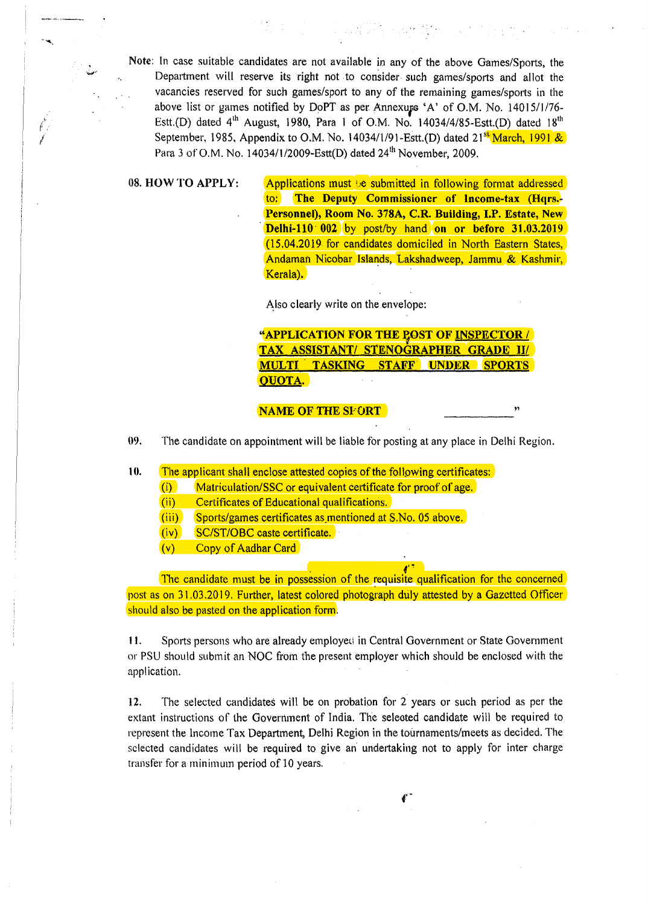Note: In case suitable candidates are not available in any of the above Games/Sports, the Department will reserve its right not to consider such games/sports and allot the vacancies reserved for such games/sport to any of the remaining games/sports in the above list or games notified by DoPT as per Annexu<sub>ff</sub>e 'A' of O.M. No. 14015/1/76-Estt.(D) dated  $4^{th}$  August, 1980, Para 1 of O.M. No. 14034/4/85-Estt.(D) dated  $18^{th}$ September, 1985, Appendix to O.M. No. 14034/1/91-Estt.(D) dated  $21^{8}$  March, 1991 & Para 3 of O.M. No. 14034/1/2009-Estt(D) dated  $24<sup>th</sup>$  November, 2009.

.....

08. HOW TO APPLY: Applications must be submitted in following format addressed to: The Deputy Commissioner of Income-tax (Hqrs.-Personnel), Room No. 378A, C.R. Building, I.P. Estate, New Delhi-110 002 by post/by hand on or before 31.03.2019  $(15.04.2019)$  for candidates domiciled in North Eastern States, Andaman Nicobar Islands, Lakshadweep, Jammu & Kashmir, Kerala).

Also clearly write on the envelope:

**"APPLICATION FOR THE POST OF INSPECTOR!** TAX ASSISTANT/ STENOGRAPHER GRADE MULTI TASKING STAFF UNDER SPORTS QUOTA.

#### NAME OF THE SI ORT

09. The candidate on appointment will be liable for posting at any place in Delhi Region.

10. The applicant shall enclose attested copies of the following certificates:

 $(i)$  Matriculation/SSC or equivalent certificate for proof of age.

(ii) Certificates of Educational qualifications.

(iii) Sports/games certificates as.mentioned at S.No. 05 above.

(iv) *SC/ST/OBC* caste certificate.

(v) Copy of Aadhar Card

. f' The candidate must be in possession of the requisite qualification for the concerned post as on 31.03.2019. Further, latest colored photograph duly attested by a Gazetted Officer should also be pasted on the application form.

11. Sports persons who are already employed in Central Government or State Government or PSU should submit an NOC from the present employer which should be enclosed with the application.

12. The selected candidates will be on probation for 2 years or such period as per the extant instructions of lhe Government of 1ndia. The seleoted candidate will be required to represent the income Tax Department, Delhi Region in the tournaments/meets as decided. The selected candidates will be required to give an undertaking not to apply for inter charge transfer for a minimum period of 10 years.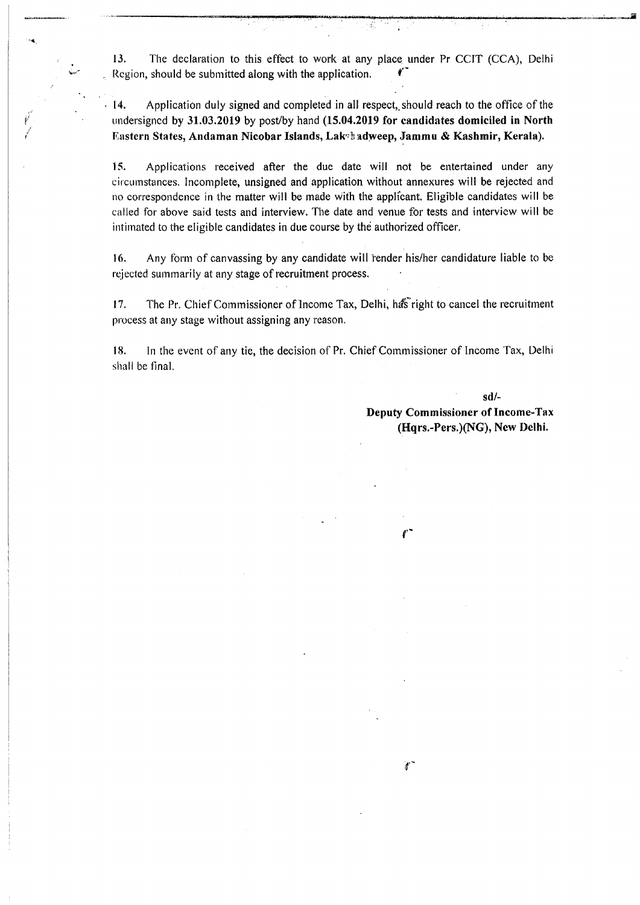13. The declaration to this effect to work at any place under Pr CCIT (CCA), Delhi Region, should be submitted along with the application.  $\blacksquare$ 

.------~-\_,-..-.... = .... \_\_\_\_ ~ ...... s~":"', 'f .... <jIr'''''''clP''''''w\_rl\'' ... ,\'9'f':'', .... ·!'\_\*!>'P ... ,,''' \_\_ ' ..... *<sup>t</sup>*'''1", '\_', .... ' \_,\_, \_,\_" ... ' ......,.\_ ..... " ......... \_\_\_ " \_\_\_ ... ~-"'=\_.""~--.iI

'."

14. Application duly signed and completed in all respect, should reach to the office of the undersigned by 31.03.2019 by post/by hand (15.04.2019 for candidates domiciled in North Eastern States, Andaman Nicobar Islands, Lakehadweep, Jammu & Kashmir, Kerala).

15. Applications received after the due date will not be entertained under any circumstances, Incomplete, unsigned and application without annexures will be rejected and no correspondence in the matter will be made with the applicant. Eligible candidates will be called for above said tests and interview. The date and venue for tests and interview will be intimated to the eligible candidates in due course by the authorized officer.

16. Any form of canvassing by any candidate will render his/her candidature liable to be rejected summarily at any stage of recruitment process.

17. The Pr. Chief Commissioner of Income Tax, Delhi, has right to cancel the recruitment process at any stage without assigning any reason.

18. In the event of any tie, the decision of Pr. Chief Commissioner of Income Tax, Delhi shall be final.

> sd/- Deputy Commissioner of Income-Tax (Hqrs.-Pers.)(NG), New Delhi.

> > $s^{\prime}$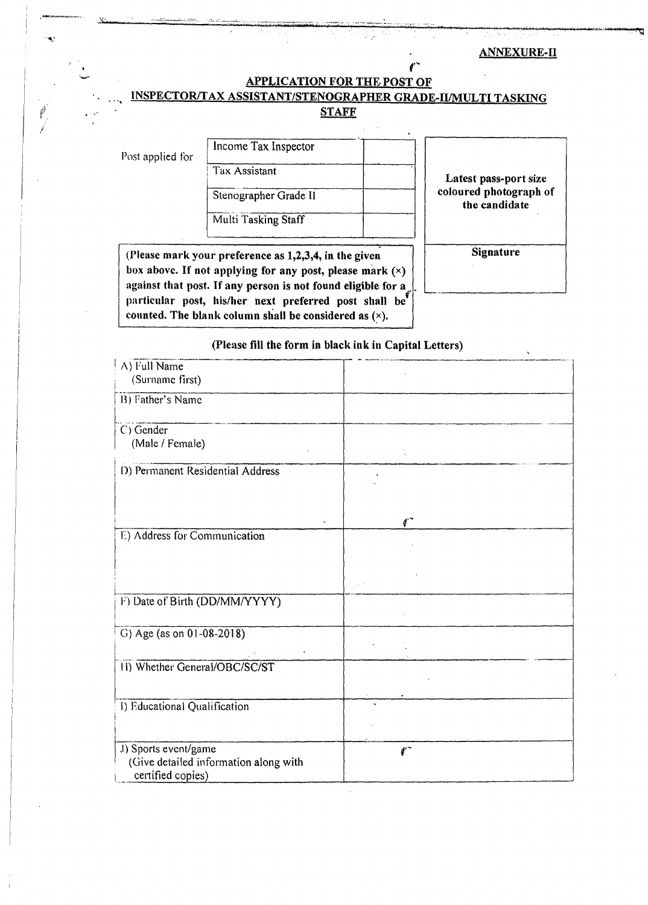#### ANNEXURE·II

## **APPLICATION FOR THE POST OF**

# INSPECTOR/TAX ASSISTANT/STENOGRAPHER GRADE-II/MULTI TASKING

**STAFF** 

Post applied for

 $\cdot$  .

|                 | (Please mark your preference as 1,2,3,4, in the given<br>box above. If not applying for any post, please mark $(x)$<br>against that post. If any person is not found eligible for a | <b>Signature</b>                        |
|-----------------|-------------------------------------------------------------------------------------------------------------------------------------------------------------------------------------|-----------------------------------------|
|                 | Multi Tasking Staff                                                                                                                                                                 |                                         |
|                 | Stenographer Grade II                                                                                                                                                               | coloured photograph of<br>the candidate |
|                 | Tax Assistant                                                                                                                                                                       | Latest pass-port size                   |
| ost applied for | Income Tax Inspector                                                                                                                                                                |                                         |

(Please fill the form in black ink in Capital Letters)

particular post, his/her next preferred post shall be counted. The blank column shall be considered as  $(x)$ .

| A) Full Name                          |                   |
|---------------------------------------|-------------------|
| (Surname first)                       |                   |
| B) Father's Name                      |                   |
|                                       |                   |
| C) Gender                             |                   |
| (Male / Female)                       |                   |
|                                       |                   |
| D) Permanent Residential Address      |                   |
|                                       |                   |
|                                       |                   |
|                                       |                   |
| E) Address for Communication          |                   |
|                                       |                   |
|                                       |                   |
|                                       |                   |
|                                       |                   |
| F) Date of Birth (DD/MM/YYYY)         |                   |
|                                       |                   |
| G) Age (as on 01-08-2018)             |                   |
|                                       |                   |
| H) Whether General/OBC/SC/ST          |                   |
|                                       |                   |
|                                       |                   |
| 1) Educational Qualification          |                   |
|                                       |                   |
|                                       |                   |
| J) Sports event/game                  | $\theta^{\prime}$ |
| (Give detailed information along with |                   |
| certified copies)                     |                   |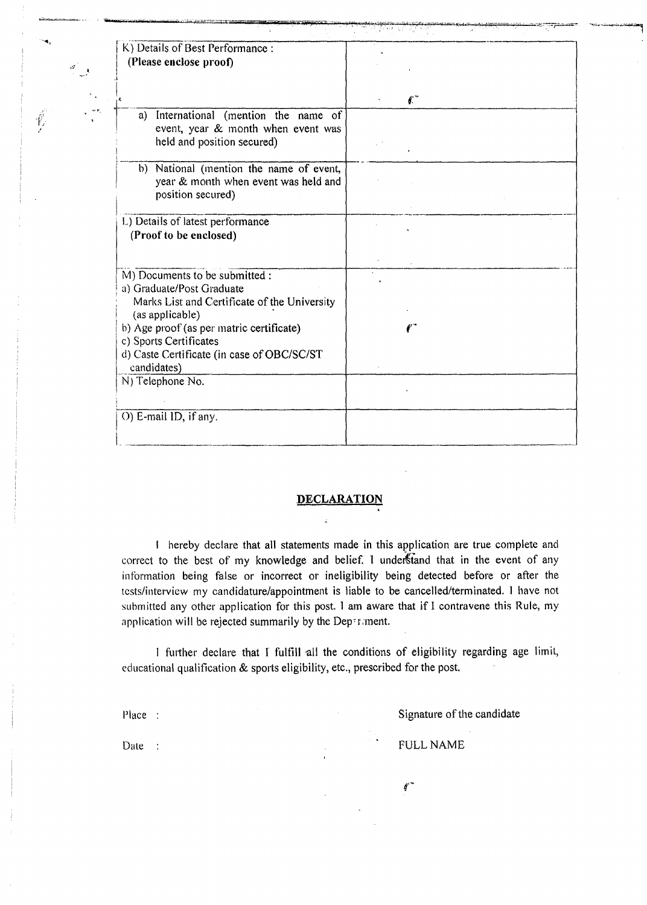| K) Details of Best Performance:<br>(Please enclose proof)                                                    |              |
|--------------------------------------------------------------------------------------------------------------|--------------|
|                                                                                                              |              |
|                                                                                                              | $\mathbf{r}$ |
| International (mention the name of<br>a)<br>event, year & month when event was<br>held and position secured) |              |
|                                                                                                              |              |
| b) National (mention the name of event,<br>year & month when event was held and<br>position secured)         |              |
|                                                                                                              |              |
| L) Details of latest performance<br>(Proof to be enclosed)                                                   |              |
|                                                                                                              |              |
| M) Documents to be submitted :                                                                               |              |
| a) Graduate/Post Graduate<br>Marks List and Certificate of the University<br>(as applicable)                 |              |
| b) Age proof (as per matric certificate)<br>c) Sports Certificates                                           |              |
| d) Caste Certificate (in case of OBC/SC/ST<br>candidates)                                                    |              |
| N) Telephone No.                                                                                             |              |
| O) E-mail ID, if any.                                                                                        |              |
|                                                                                                              |              |

#### **DECLARATION**

I hereby declare that all statements made in this application are true complete and correct to the best of my knowledge and belief. I understand that in the event of any information being false or incorrect or ineligibility being detected before or after the tests/interview my candidature/appointment is liable to be cancelled/terminated. I have not submitted any other application for this post. I am aware that if I contravene this Rule, my application will be rejected summarily by the Deperanent.

I further declare that I fulfill all the conditions of eligibility regarding age limit, educational qualification & sports eligibility, etc., prescribed for the post.

Place:

Date :

۰.

Ť,

Signature of the candidate

**FULL NAME** 

 $\epsilon$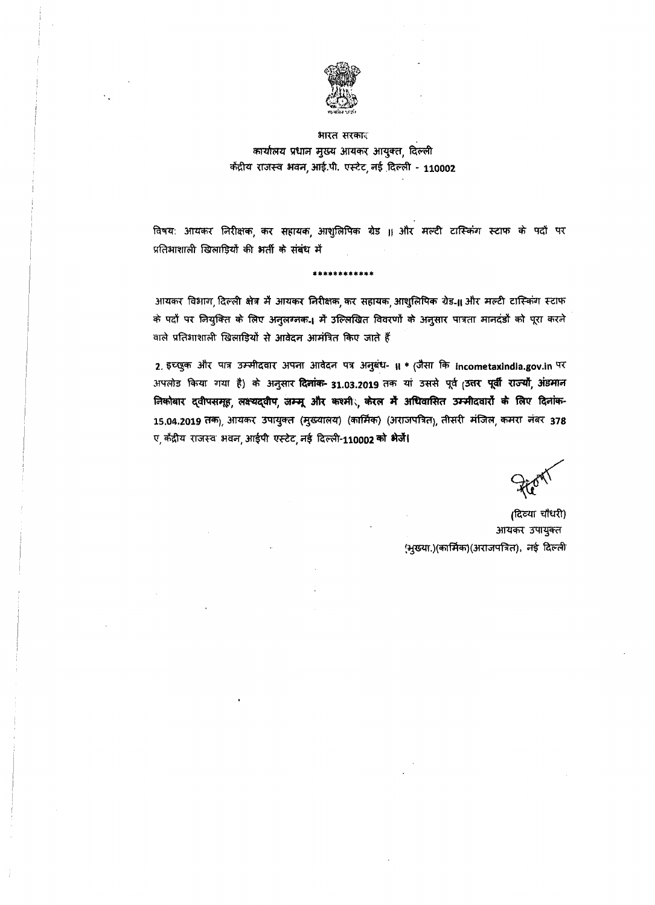

भारत सरकार कार्यालय प्रधान मुख्य आयकर आयुक्त, दिल्ली केंद्रीय राजस्व भवन, आई.पी. एस्टेट, नई दिल्ली - 110002

विषय: आयकर लिरीक्षक, कर सहायक, आशुलिपिक ग्रेड ॥ और मल्टी टास्किंग स्टाफ के पदों पर प्रतिभाशाली खिलाड़ियों की भर्ती के संबंध में

# आयकर विभाग, दिल्ली क्षेत्र में आयकर निरीक्षक, कर सहायक, आशुलिपिक ग्रेड-॥ और मल्टी टास्किंग स्टाफ के पदों पर नियुक्ति के लिए अनुलग्ननक। में उल्लिखित विवरणों के अनुसार पात्रता मानदंडों को पूरा करने वाले प्रतिभाशाली खिलाड़ियों से आवेदन आमंत्रित किए जाते हैं

2. इच्छुक और पात्र उम्मीदवार अपना आवेदन पत्र अनुबंध- ॥ \* (जैसा कि incometaxindia.gov.in पर अपलोड किया गया है) के अनुसार **दिनांक- 31.03.2019** तक यां उससे पूर्व <sub>(</sub>उत्तर पूर्वी राज्यों, अंडमान निकोबार द्वीपसमूह, लक्ष्यद्वीप, जम्मू और कश्मी, करल में अधिवासित उम्मीदवारों के लिए दिनांक-15.04.2019 तक), आयकर उपायुक्त (मुख्यालय) (कार्मिक) (अराजपत्रित), तीसरी मंजिल, कमरा नंबर 378 ए केंद्रीय राजस्व भवन, आईपी एस्टेट, नई दिल्ली-110002 को भेजें।

(दिव्या चौधरी) आयकर उपायुक्त (भुख्या.)(कार्मिक)(अराजपत्रित), नई दिल्ली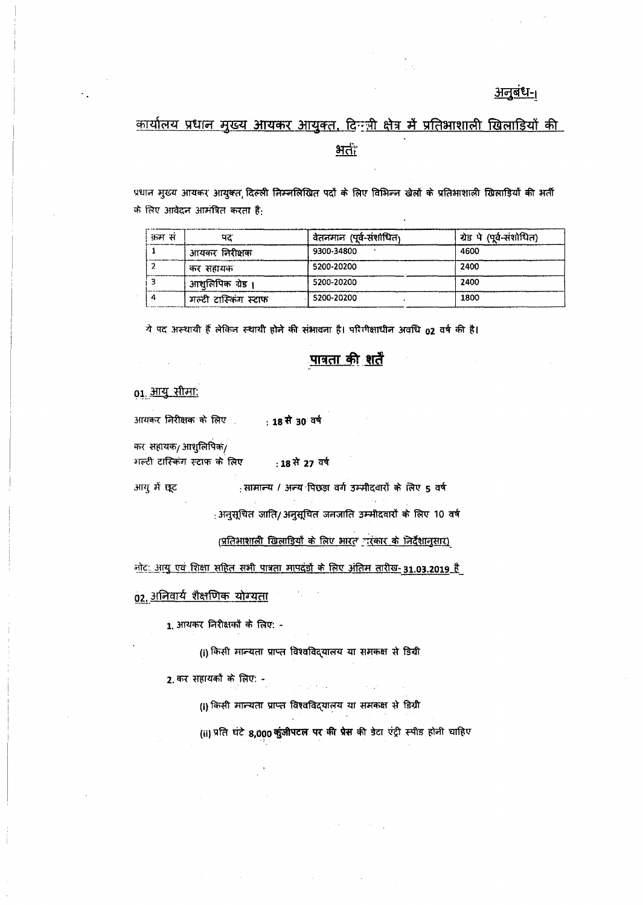<u>अनुबंध-</u>

# <u>कार्यालय प्रधान मुख्य आयकर आयुक्त, दिल्ली क्षेत्र में प्रतिभाशाली खिलाड़ियों की</u> भ $\vec{a}$ ा

प्रधान मुख्य आयकर आयुक्त दिल्ली निम्नलिखित पदों के लिए विभिन्न खेलों के प्रतिभाशाली खिलाड़ियों की भर्ती  $\vec{r}$  तिए आवेदन आमंत्रित करता है;

| कम सं | पट                   | वेतनमान (पूर्व-संशोधित <sub>)</sub> | ग्रेड पे (पूर्व-संशोधित) |
|-------|----------------------|-------------------------------------|--------------------------|
|       | आयकर निरीक्षक        | 9300-34800                          | 4600                     |
|       | कर सहायक             | 5200-20200                          | 2400                     |
|       | आशुलिपिक ग्रेड।      | 5200-20200                          | 2400                     |
|       | मल्टी टास्किंग स्टाफ | 5200-20200                          | 1800                     |

ये पद अस्थायी हैं लेकिन स्थायी होने की संभावना है। परिग्गक्षाधीन अवधि 02 वर्ष की है।

# पात्रता की शर्ते

#### <u>01. आयु सीमाः</u>

 $\mathcal{L}^{\mathcal{L}}(\mathcal{L}^{\mathcal{L}}(\mathcal{L}^{\mathcal{L}}(\mathcal{L}^{\mathcal{L}}(\mathcal{L}^{\mathcal{L}}(\mathcal{L}^{\mathcal{L}}(\mathcal{L}^{\mathcal{L}}(\mathcal{L}^{\mathcal{L}}(\mathcal{L}^{\mathcal{L}}(\mathcal{L}^{\mathcal{L}}(\mathcal{L}^{\mathcal{L}}(\mathcal{L}^{\mathcal{L}}(\mathcal{L}^{\mathcal{L}}(\mathcal{L}^{\mathcal{L}}(\mathcal{L}^{\mathcal{L}}(\mathcal{L}^{\mathcal{L}}(\mathcal{L}^{\mathcal{L$ 

आयकर निरीक्षक के लिए : 18 से 30 वर्ष

कर सहायक/आशुलिपिक/

*'*:wed' टास्किंग स्टाफ के लिए **18 से 27 वर्ष** 

आयु में छूट

: सामान्य / अन्य पिछड़ा वर्ग उम्मीदवारों के लिए 5 वर्ष<br>अनुसूचित जाति/अनुसूचित जनजाति उम्मीदवारों के लिए 10 वर्ष:

(प्रतिभाशाली खिलाड़ियों के लिए भारत सरकार के निर्देशानुसार)

 $\frac{1}{2}$  नोट: आयु एवं शिक्षा सहित सभी पात्रता मापदंडों के लिए अंतिम तारीख- 31.03.2019\_है

02. अलिवार्य शैक्षणिक योग्यता

1. आयकर निरीक्षकों के लिए: -

(i) किसी मान्यता प्राप्त विश्वविद्यालय या समकक्ष से डिग्री

2. कर सहायकों के लिए: -

(i) किसी मान्यता प्राप्त विश्वविद्यालय या समकक्ष से डिग्री

 $\mathbb{R}^{n \times n}$  .

(ii) प्रति घंटे 8,000 कुंजीपटल पर की प्रेस की डेटा एंट्री स्पीड़ होनी चाहिए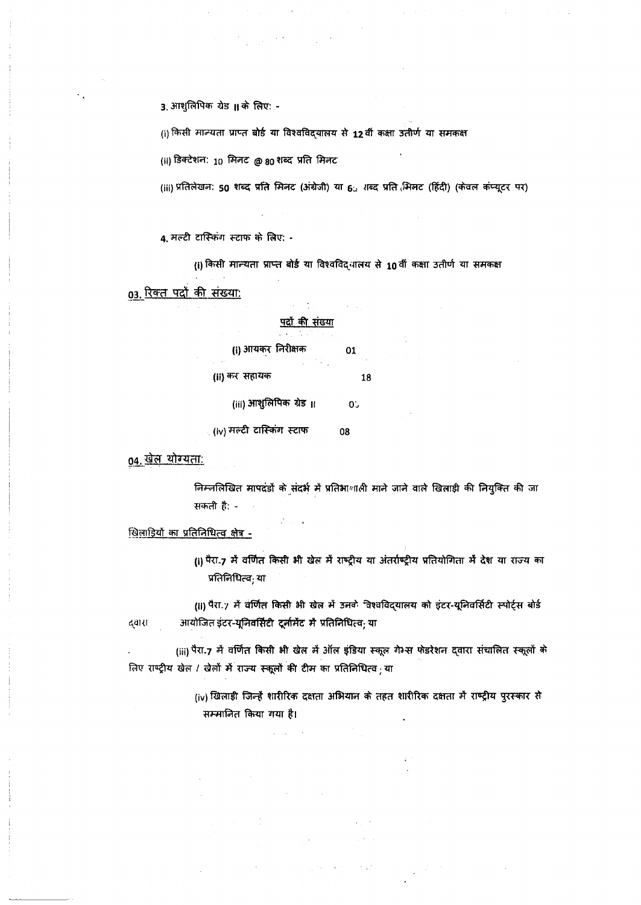3. आशुलिपिक ग्रेड ॥ के लिए: -

(i) किसी मान्यता प्राप्त बोर्ड या विश्वविद्यालय से 12 वीं कक्षा उतीर्ण या समकक्ष

(ii) डिक्टेशन: 10 मिनट @ 80 शब्द प्रति मिनट

(iii) प्रतिलेखन: 50 शब्द प्रति मिनट (अंग्रेजी) या 6. शब्द प्रति मिमट (हिंदी) (केवल कंप्यूटर पर)

4. मल्टी टास्किंग स्टाफ के लिए: -

(i) किसी मान्यता प्राप्त बोर्ड या विश्वविद्यालय से 10वीं कक्षा उतीर्ण या समकक्ष 03. रिक्त पदों की संख्या:

> पदों की संख्या (i) आयकर निरीक्षक  $01$ (ii) कर सहायक 18 (iii) आशुलिपिक ग्रेड ।।  $0.5$

<sub>ं (iv)</sub> मल्टी टास्किंग स्टाफ 08

04. खेल योग्यता:

निम्नलिखित मापदंडों के संदर्भ में प्रतिभावाली माने जाने वाले खिलाड़ी की नियुक्ति की जा सकती है: -

खिलाड़ियों का प्रतिजिधित्व क्षेत्र -

(i) पैरा.7 में वर्णित किसी भी खेल में राष्ट्रीय या अंतर्राष्ट्रीय प्रतियोगिता में देश या राज्य का प्रतिनिधित्व, या

(ii) पैरा.7 में वर्णित किसी भी खेल में उनके विश्वविद्यालय को इंटर-यूनिवर्सिटी स्पोर्ट्स बोर्ड आयोजित इंटर-यूनिवर्सिटी टूर्नामेंट में प्रतिनिधित्व या द्वास

(iii) पैरा.7 में वर्णित किसी भी खेल में ऑल इंडिया स्कूल गे॰स फेडरेशन द्वारा संचालित स्कूलों के लिए राष्ट्रीय खेल / खेलों में राज्य स्कूलों की टीम का प्रतिनिधित्व ;या

> (iv) खिलाड़ी जिन्हें शारीरिक दक्षता अभियान के तहत शारीरिक दक्षता में राष्ट्रीय पुरस्कार से सम्मानित किया गया है।

> > $\sim 1000$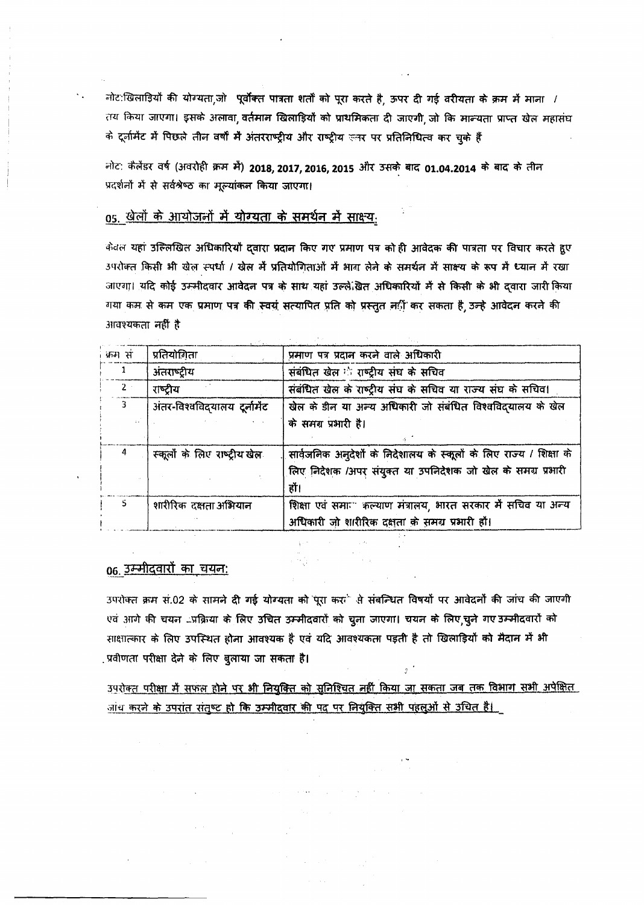नोट:खिलाड़ियों की योग्यता,जो पूर्वोक्त पात्रता शर्तों को पूरा करते है, ऊपर दी गई वरीयता के क्रम में माना / तय किया जाएगा। इसके अलावा वर्तमान खिलाड़ियों को प्राथमिकता दी जाएगी जो कि मान्यता प्राप्त खेल महासंघ के दर्जामेंट में पिछले तीन वर्षों में अंतरराष्ट्रीय और राष्ट्रीय रूनर पर प्रतिनिधित्व कर चुके हैं

नोट: कैलेंडर वर्ष (अवरोही क्रम मैं) 2018, 2017, 2016, 2015 और उसके बाद 01.04.2014 के बाद के तीन प्रदर्शनों में से सर्वश्रेष्ठ का मूल्यांकन किया जाएगा।

# 05. खेलों के आयोजनों में योग्यता के समर्थन में साक्ष्य,

केवल यहां उल्लिखित अधिकारियों दवारा प्रदान किए गए प्रमाण पत्र को ही आवेदक की पात्रता पर विचार करते हुए उपरोक्त किसी भी खेल स्पर्धा / खेल में प्रतियोगिताओं में भाग लेने के समर्थन में साक्ष्य के रूप में ध्यान में रखा जाएगा। यदि कोई उम्मीदवार आवेदन पत्र के साथ यहां उल्लेखित अधिकारियों में से किसी के भी द्वारा जारी किया गया कम से कम एक प्रमाण पत्र की स्वयं सत्यापित प्रति को प्रस्तुत नहीं कर सकता है, उन्हे आवेदन करने की आवश्यकता नहीं है

| क्रम सं        | प्रतियोगिता                  | प्रमाण पत्र प्रदान करने वाले अधिकारी                               |
|----------------|------------------------------|--------------------------------------------------------------------|
|                | अंतराष्ट्रीय                 | संबंधित खेल ं राष्ट्रीय संघ के सचिव                                |
| 2 <sup>1</sup> | राष्ट्रीय                    | संबंधित खेल के राष्ट्रीय संघ के सचिव या राज्य संघ के सचिव।         |
| 3              | अंतर-विश्वविदयालय टूर्नामेंट | खेल के डीन या अन्य अधिकारी जो संबंधित विश्वविदयालय के खेल          |
|                |                              | के समग्र प्रभारी है।                                               |
|                |                              |                                                                    |
| 4              | स्कूलों के लिए राष्ट्रीय खेल | सार्वजनिक अनुदेशों के निदेशालय के स्कूलों के लिए राज्य / शिक्षा के |
|                |                              | लिए निदेशक /अपर संयुक्त या उपनिदेशक जो खेल के समग्र प्रभारी        |
|                |                              | हों।                                                               |
| 5              | शारीरिक दक्षता अभियान        | शिक्षा एवं समाः" कल्याण मंत्रालय, भारत सरकार में सचिव या अन्य      |
|                |                              | अधिकारी जो शारीरिक दक्षता के समग्र प्रभारी हों।                    |

# 06. उम्मीदवारों का चयन:

 $\ddot{\phantom{a}}$  .

उपरोक्त क्रम सं.02 के सामने दी गई योग्यता को पूरा कर से संबन्धित विषयों पर आवेदनों की जांच की जाएगी एवं आगे की चयन ..प्रक्रिया के लिए उचित उम्मीदवारों को चुना जाएगा। चयन के लिए चुने गए उम्मीदवारों को साक्षात्कार के लिए उपस्थित होना आवश्यक है एवं यदि आवश्यकता पड़ती है तो खिलाड़ियों को मैदान में भी प्रवीणता परीक्षा देने के लिए बुलाया जा सकता है।  $\mathcal{I}$ 

उपरोक्त परीक्षा में सफल होने पर भी नियुक्ति को सुनिश्चित नहीं किया जा सकता जब तक विभाग सभी अपेक्षित जांच करने के उपरांत संतुष्ट हो कि उम्मीदवार की पद पर नियुक्ति सभी पहलुओं से उचित है।

 $\mathcal{O}(\mathcal{O}(\mathcal{O}(\mathcal{O}(\mathcal{O}(\mathcal{O}(\mathcal{O}(\mathcal{O}(\mathcal{O})))))))))$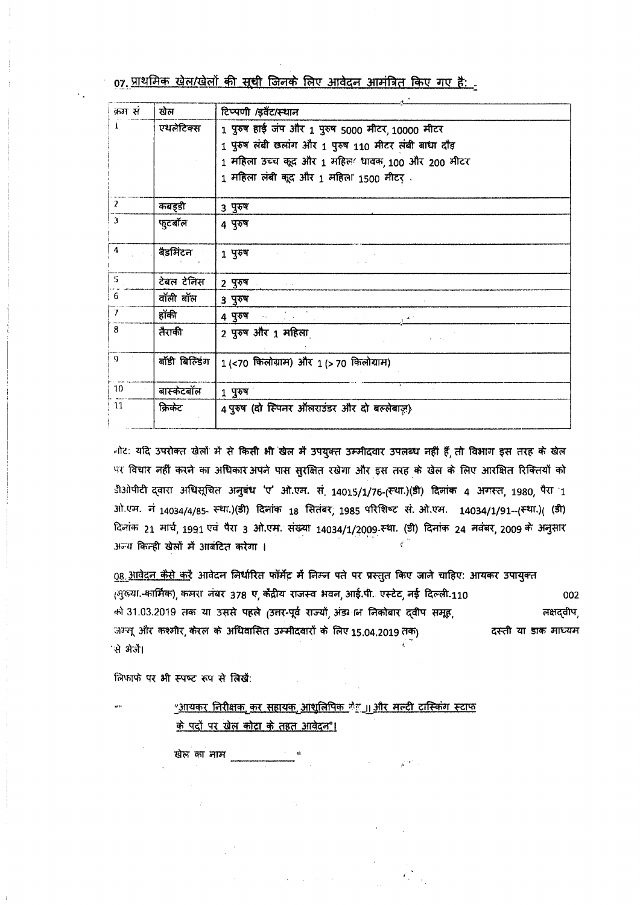07. प्राथमिक खेल/खेलों की सूची जिलके लिए आवेदन आमंत्रित किए गए है:

| क्रम सं       | खेल           | टिप्पणी /इवैंट/स्थान                                                                                                                                                                                       |
|---------------|---------------|------------------------------------------------------------------------------------------------------------------------------------------------------------------------------------------------------------|
|               | एथलेटिक्स     | 1 पुरुष हाई जंप और 1 पुरुष 5000 मीटर, 10000 मीटर<br>$1$ पुरुष लंबी छलांग और 1 पुरुष 110 मीटर लंबी बाधा दौड़<br>1 महिला उच्च कूद और 1 महिल धावक, 100 और 200 मीटर<br>1 महिला लंबी कूद और 1 महिला 1500 मीटर . |
| 2             | कबड्डी        | ३ पुरुष                                                                                                                                                                                                    |
| $\mathbf{3}$  | फुटबॉल        | 4 पुरुष                                                                                                                                                                                                    |
| 4             | बैडमिंटन      | 1 पुरुष                                                                                                                                                                                                    |
| 5             | टेबल टेनिस    | 2 पुरुष                                                                                                                                                                                                    |
| 6             | वॉली बॉल      | 3 पुरुष                                                                                                                                                                                                    |
| $\mathcal{I}$ | हॉकी          | 4 पुरुष कारण करने हैं।                                                                                                                                                                                     |
| 8             | तैराकी        | 2 पुरुष और 1 महिला                                                                                                                                                                                         |
| 9             | बॉडी बिल्डिंग | $1$ (<70 किलोग्राम) और $1$ (> 70 किलोग्राम)                                                                                                                                                                |
| 10            | बास्केटबॉल    | 1 पुरुष                                                                                                                                                                                                    |
| 11            | क्रिकेट       | 4 पुरुष (दो स्पिनर ऑलराउंडर और दो बल्लेबाज़)                                                                                                                                                               |

नोट: यदि उपरोक्त खेलों में से किसी भी खेल में उपयुक्त उम्मीदवार उपलब्ध नहीं हैं तो विभाग इस तरह के खेल पर विचार नहीं करने का अधिकार अपने पास सुरक्षित रखेगा और इस तरह के खेल के लिए आरक्षित रिक्तियों को 3ोओपीटी द्वारा अधिसूचित अनुबंध 'ए' ओ.एम. सं 14015/1/76-(स्था.)(डी) दिनांक 4 अगस्त, 1980, पैरा 1 31ो.एम. नं 14034/4/85- स्था.)(डी) दिनांक 18 सितंबर, 1985 परिशिष्ट सं. ओ.एम. 14034/1/91--(स्था.)( (डी) दिनांक 21 मार्च, 1991 एवं पैरा 3 ओ.एम. संख्या 14034/1/2009 स्था. (डी) दिनांक 24 नवंबर, 2009 के अनुसार अन्य किन्ही खेलों में आबंटित करेगा ।

08. आवेदन कैसे करें आवेदन निर्धारित फॉर्मेट में निम्न पते पर प्रस्तुत किए जाने चाहिए: आयकर उपायुक्त (मुख्या.-कार्मिक), कमरा नंबर 378 ए केंद्रीय राजस्व भवन, आई.पी. एस्टेट, नई दिल्ली.110 002 को 31.03.2019 तक या उससे पहले (उतर-पूर्व राज्यों अंडर न निकोबार दवीप समूह लक्षदवीप<sub>,</sub> जम्मू और कश्मीर केरल के अधिवासित उम्मीदवारों के लिए 15,04,2019 तक) दस्ती या डाक माध्यम `से भेजें।

लिफाफे पर भी स्पष्ट रूप से लिखें:

"आयकर निरीक्षक कर सहायक आशुलिपिक केला और मल्टी टास्किंग स्टाफ के पदों पर खेल कोटा के तहत आवेदन"।

 $\Delta \phi = \sqrt{1 - \alpha^2}$  , and

खेल का नाम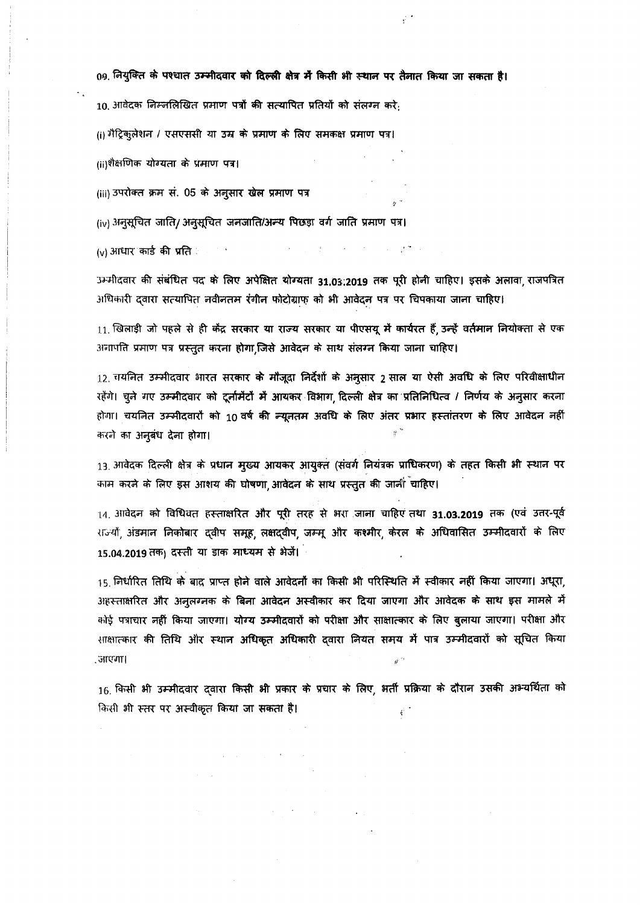09. लियुक्ति के पश्चात उम्मीदवार को दिल्ली क्षेत्र में किसी भी स्थान पर तैनात किया जा सकता है।

 $\tilde{\mathbf{r}}^{(i)}$ 

10. आवेदक निम्नलिखित प्रमाण पत्रों की सत्यापित प्रतियों को संलग्न करे.

(i) मैट्रिकुलेशन / एसएससी या उम्र के प्रमाण के लिए समकक्ष प्रमाण पत्र।

(ii)शैक्षणिक योग्यता के प्रमाण पत्र।

(iii) उपरोक्त क्रम सं. 05 के अनुसा**र खेल प्रमाण पत्र** 

(iv) अनुसूचित जाति/ अनुसूचित जनजाति/अन्य पिछड़ा वर्ग जाति प्रमाण पत्र।

where  $\mathcal{L}_\text{max}$  is the contract of the contract of the contract of the contract of the contract of the contract of the contract of the contract of the contract of the contract of the contract of the contract of the co  $(v)$  आधार कार्ड की प्रति संख्या संस्था है। संस्था संस्कृतिक संस्कृतिक संस्कृतिक संस्कृतिक संस्कृतिक संस्कृतिक संस्कृतिक संस्कृतिक संस्कृतिक संस्कृतिक संस्कृतिक संस्कृतिक संस्कृतिक संस्कृतिक संस्कृतिक संस्कृतिक संस्कृतिक स

3म्मीदवार की संबंधित पद के लिए अपेक्षित योग्यता 31,03.2019 तक पूरी होनी चाहिए। इसके अलावा, राजपत्रित अधिकारी दवारा सत्यापित नवीनतम रंगीन फोटोग्राफ को भी आवेदन पत्र पर चिपकाया जाना चाहिए।

11. खिलाड़ी जो पहले से ही केंद्र सरकार या राज्य सरकार या पीएसयू में कार्यरत हैं उन्हें वर्तमान नियोक्ता से एक अनापति प्रमाण पत्र प्रस्तुत करना होगा जिसे आवेदन के साथ संलग्न किया जाना चाहिए।

12. चयनित उम्मीदवार भारत सरकार के मौजूदा निर्देशों के अनुसार 2 साल या ऐसी अवधि के लिए परिवीक्षाधीन रहेंगे। चुने गए उम्मीदवार को टूर्नामेंटों में आयकर विभाग दिल्ली क्षेत्र का प्रतिनिधित्व / निर्णय के अनुसार करना होगा। चयनित उम्मीदवारों को 10 वर्ष की न्यूनतम अवधि के लिए अंतर प्रभार हस्तांतरण के लिए आवेदन नहीं  $\gamma^{\prime}$   $^{\prime\prime}$ करने का अनुबंध देना होगा।

13 आवेदक दिल्ली क्षेत्र के प्रधान मुख्य आयकर आयुक्त (संवर्ग नियंत्रक प्राधिकरण) के तहत किसी भी स्थान पर काम करने के लिए इस आशय की घोषणा, आवेंदन के साथ प्रस्तुत की जानी चाहिए।

14, आवेदन को विधिवत हस्ताक्षरित और पूरी तरह से भरा जाना चाहिए तथा 31,03.2019 तक (एवं उत्तर-पूर्व राज्यों, अंडमान निकोबार दवीप समूह, लक्षदवीप, जम्मू और कश्मीर, केरल के अधिवासित उम्मीदवारों के लिए 15.04.2019 तक) दस्ती या डाक माध्यम से भेजें।

15 निर्धारित तिथि के बाद प्राप्त होने वाले आवेदनों का किसी भी परिस्थिति में स्वीकार नहीं किया जाएगा। अधूरा, अहस्ताक्षरित और अनुलग्ननक के बिना आवेदन अस्वीकार कर दिया जाएगा और आवेदक के साथ इस मामले में कोई पत्राचार नहीं किया जाएगा। योग्य उम्मीदवारों को परीक्षा और साक्षात्कार के लिए बुलाया जाएगा। परीक्षा और साक्षात्कार की तिथि और स्थान अधिकृत अधिकारी दवारा नियत समय में पात्र उम्मीदवारों को सूचित किया , जाएगा।

16. किसी भी उम्मीदवार द्वारा किसी भी प्रकार के प्रचार के लिए, भर्ती प्रक्रिया के दौरान उसकी अभ्यर्थिता को किसी भी स्तर पर अस्वीकृत किया जा सकता है।  $\epsilon$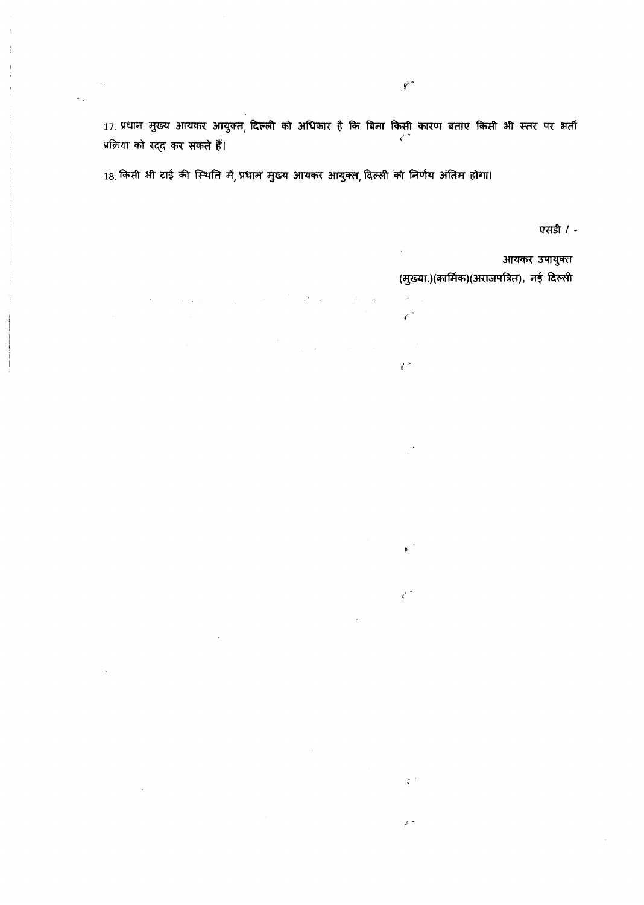17. प्रधान मुख्य आयकर आयुक्त, दिल्ली को अधिकार है कि बिना किसी कारण बताए किसी भी स्तर पर भर्ती  $\sqrt{2}$ प्रक्रिया को रद्द कर सकते हैं।

 $\tilde{\mathbf{y}}^{cs}$ 

ψb.  $\tilde{g}^{(1)}$ 

 $\mathbf{r}$ 

 $\vec{q}^{\prime}$  .

 $\theta^{-1}$ 

 $\delta^{-1}$ 

18 किसी भी टाई की स्थिति में, प्रधान मुख्य आयकर आयुक्त, दिल्ली का निर्णय अंतिम होगा।

एसडी  $/$  -

आयकर उपायुक्त (मुख्या.)(कार्मिक)(अराजपत्रित), नई दिल्ली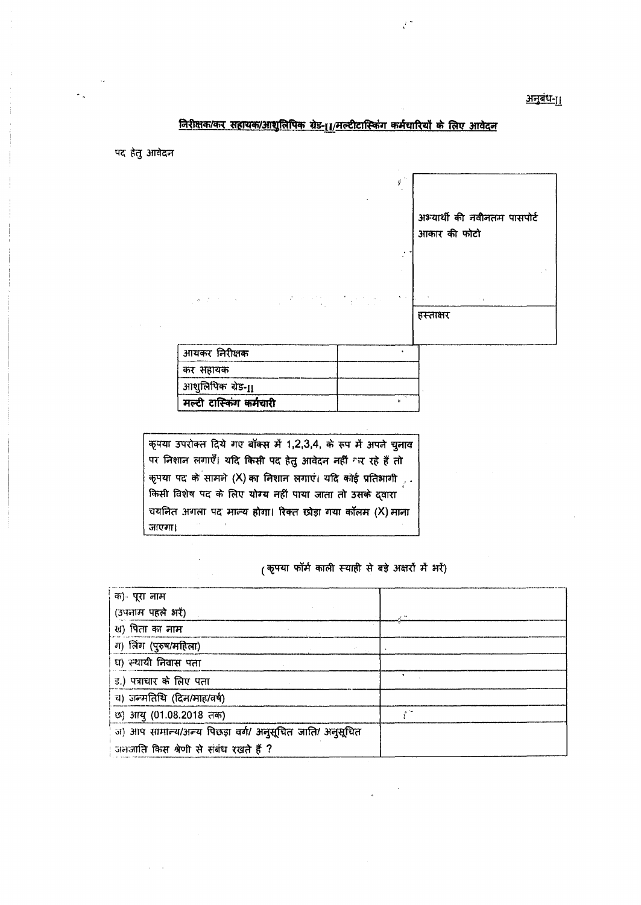अनुबंध-11

# लिरीक्षक/कर सहायक/आशुलिपिक ग्रेड-[[/मल्टीटास्किंग कर्मचारियों के लिए आवेदन

पद हेतु आवेदन

|                                                                                                                    | ý<br>×.<br>× | अभ्यार्थी की नवीनतम पासपोर्ट<br>आकार की फोटो |
|--------------------------------------------------------------------------------------------------------------------|--------------|----------------------------------------------|
| $\mathcal{A}$ , the second constraint in the constraint of the second constraint $\mathcal{A}$ , and $\mathcal{A}$ |              | $\sim$ 10<br>हस्ताक्षर                       |
| आयकर निरीक्षक                                                                                                      |              |                                              |
| कर सहायक                                                                                                           |              |                                              |
| आशुलिपिक ग्रेड-[]                                                                                                  |              |                                              |
| मल्टी टास्किंग कर्मचारी                                                                                            | Ù.           |                                              |

कृपया उपरोक्त दिये गए बॉक्स में 1,2,3,4, के रूप में अपने चुनाव पर निशान लगाएँ। यदि किसी पद हेतु आवेदन नहीं कर रहे हैं तो कृपया पद के सामने (X) का निशान लगाएं। यदि कोई प्रतिभागी <sub>ह</sub> किसी विशेष पद के लिए योग्य नहीं पाया जाता तो उसके द्वारा चयनित अगला पद मान्य होगा। रिक्त छोड़ा गया कॉलम (X) माना  $\sim$   $\alpha$ **आएगा।** 

(कृपया फॉर्म काली स्याही से बड़े अक्षरों में भरें)

| क)- पूरा नाम                                            |  |
|---------------------------------------------------------|--|
| (उपनाम पहले भरें)                                       |  |
| ख) पिता का नाम                                          |  |
| ग) लिंग (पुरुष/महिला)                                   |  |
| ध) स्थायी निवास पता                                     |  |
| ड.) पत्राचार के लिए पता                                 |  |
| च) जन्मतिथि (दिन/माह/वर्ष)                              |  |
| छ) आयु (01.08.2018 तक)                                  |  |
| ज) आप सामान्य/अन्य पिछड़ा वर्ग/ अनुसूचित जाति/ अनुसूचित |  |
| जनजाति किस श्रेणी से संबंध रखते हैं ?                   |  |